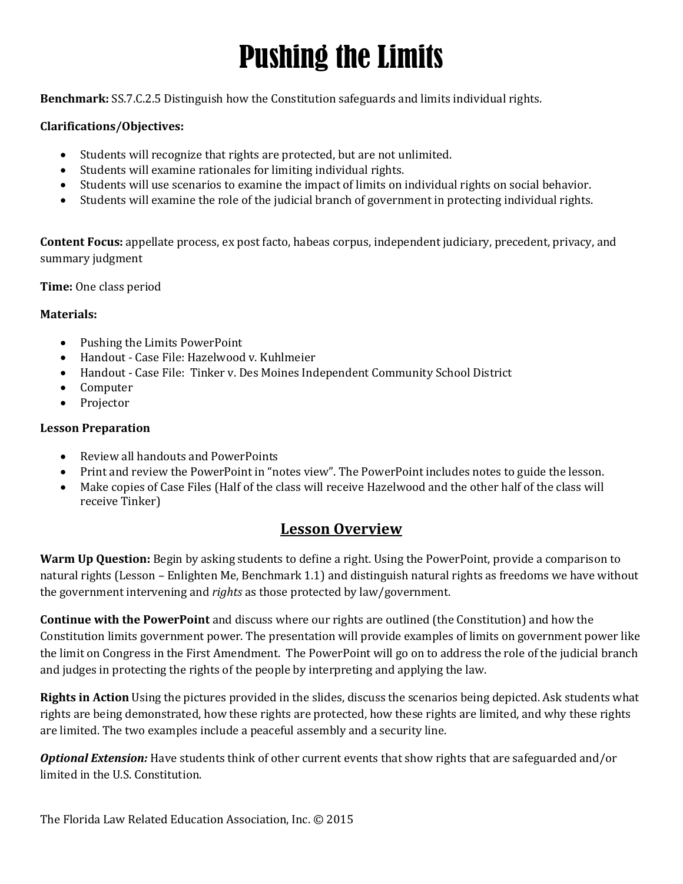# Pushing the Limits

**Benchmark:** SS.7.C.2.5 Distinguish how the Constitution safeguards and limits individual rights.

#### **Clarifications/Objectives:**

- Students will recognize that rights are protected, but are not unlimited.
- Students will examine rationales for limiting individual rights.
- Students will use scenarios to examine the impact of limits on individual rights on social behavior.
- Students will examine the role of the judicial branch of government in protecting individual rights.

**Content Focus:** appellate process, ex post facto, habeas corpus, independent judiciary, precedent, privacy, and summary judgment

**Time:** One class period

#### **Materials:**

- Pushing the Limits PowerPoint
- Handout Case File: Hazelwood v. Kuhlmeier
- Handout Case File: Tinker v. Des Moines Independent Community School District
- Computer
- Projector

#### **Lesson Preparation**

- Review all handouts and PowerPoints
- Print and review the PowerPoint in "notes view". The PowerPoint includes notes to guide the lesson.
- Make copies of Case Files (Half of the class will receive Hazelwood and the other half of the class will receive Tinker)

#### **Lesson Overview**

**Warm Up Question:** Begin by asking students to define a right. Using the PowerPoint, provide a comparison to natural rights (Lesson – Enlighten Me, Benchmark 1.1) and distinguish natural rights as freedoms we have without the government intervening and *rights* as those protected by law/government.

**Continue with the PowerPoint** and discuss where our rights are outlined (the Constitution) and how the Constitution limits government power. The presentation will provide examples of limits on government power like the limit on Congress in the First Amendment. The PowerPoint will go on to address the role of the judicial branch and judges in protecting the rights of the people by interpreting and applying the law.

**Rights in Action** Using the pictures provided in the slides, discuss the scenarios being depicted. Ask students what rights are being demonstrated, how these rights are protected, how these rights are limited, and why these rights are limited. The two examples include a peaceful assembly and a security line.

*Optional Extension:* Have students think of other current events that show rights that are safeguarded and/or limited in the U.S. Constitution.

The Florida Law Related Education Association, Inc. © 2015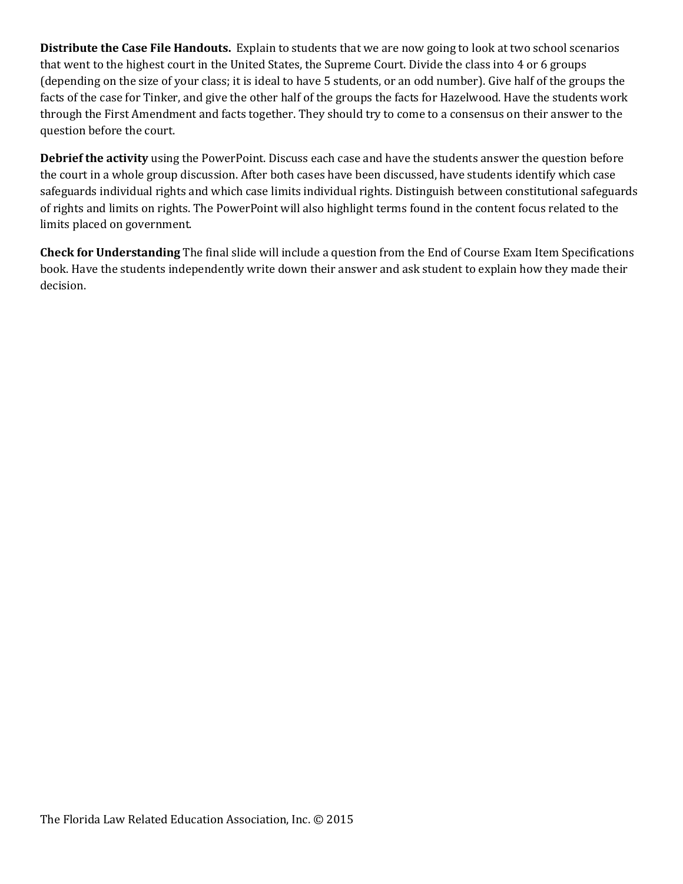**Distribute the Case File Handouts.** Explain to students that we are now going to look at two school scenarios that went to the highest court in the United States, the Supreme Court. Divide the class into 4 or 6 groups (depending on the size of your class; it is ideal to have 5 students, or an odd number). Give half of the groups the facts of the case for Tinker, and give the other half of the groups the facts for Hazelwood. Have the students work through the First Amendment and facts together. They should try to come to a consensus on their answer to the question before the court.

**Debrief the activity** using the PowerPoint. Discuss each case and have the students answer the question before the court in a whole group discussion. After both cases have been discussed, have students identify which case safeguards individual rights and which case limits individual rights. Distinguish between constitutional safeguards of rights and limits on rights. The PowerPoint will also highlight terms found in the content focus related to the limits placed on government.

**Check for Understanding** The final slide will include a question from the End of Course Exam Item Specifications book. Have the students independently write down their answer and ask student to explain how they made their decision.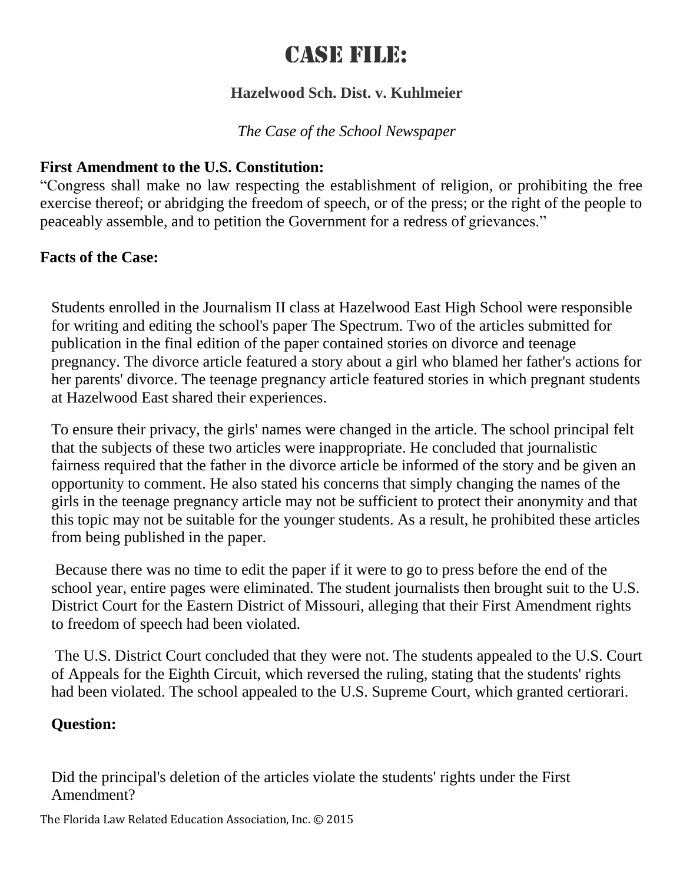# Case File:

### **Hazelwood Sch. Dist. v. Kuhlmeier**

# *The Case of the School Newspaper*

# **First Amendment to the U.S. Constitution:**

"Congress shall make no law respecting the establishment of religion, or prohibiting the free exercise thereof; or abridging the freedom of speech, or of the press; or the right of the people to peaceably assemble, and to petition the Government for a redress of grievances."

# **Facts of the Case:**

Students enrolled in the Journalism II class at Hazelwood East High School were responsible for writing and editing the school's paper The Spectrum. Two of the articles submitted for publication in the final edition of the paper contained stories on divorce and teenage pregnancy. The divorce article featured a story about a girl who blamed her father's actions for her parents' divorce. The teenage pregnancy article featured stories in which pregnant students at Hazelwood East shared their experiences.

To ensure their privacy, the girls' names were changed in the article. The school principal felt that the subjects of these two articles were inappropriate. He concluded that journalistic fairness required that the father in the divorce article be informed of the story and be given an opportunity to comment. He also stated his concerns that simply changing the names of the girls in the teenage pregnancy article may not be sufficient to protect their anonymity and that this topic may not be suitable for the younger students. As a result, he prohibited these articles from being published in the paper.

Because there was no time to edit the paper if it were to go to press before the end of the school year, entire pages were eliminated. The student journalists then brought suit to the U.S. District Court for the Eastern District of Missouri, alleging that their First Amendment rights to freedom of speech had been violated.

The U.S. District Court concluded that they were not. The students appealed to the U.S. Court of Appeals for the Eighth Circuit, which reversed the ruling, stating that the students' rights had been violated. The school appealed to the U.S. Supreme Court, which granted certiorari.

#### **Question:**

Did the principal's deletion of the articles violate the students' rights under the First Amendment?

The Florida Law Related Education Association, Inc. © 2015